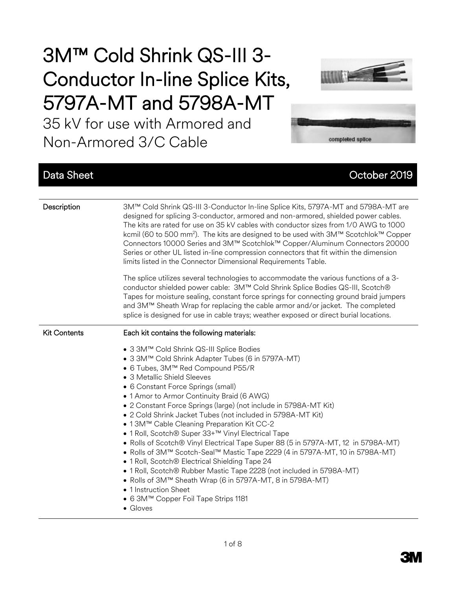# 3M™ Cold Shrink QS-III 3- Conductor In-line Splice Kits, 5797A-MT and 5798A-MT

35 kV for use with Armored and Non-Armored 3/C Cable





## Data Sheet Contract Contract Contract Contract Contract Contract Contract Contract Contract Contract Contract Contract Contract Contract Contract Contract Contract Contract Contract Contract Contract Contract Contract Cont

| Description         | 3M™ Cold Shrink QS-III 3-Conductor In-line Splice Kits, 5797A-MT and 5798A-MT are<br>designed for splicing 3-conductor, armored and non-armored, shielded power cables.<br>The kits are rated for use on 35 kV cables with conductor sizes from 1/0 AWG to 1000<br>kcmil (60 to 500 mm <sup>2</sup> ). The kits are designed to be used with 3M™ Scotchlok™ Copper<br>Connectors 10000 Series and 3M™ Scotchlok™ Copper/Aluminum Connectors 20000<br>Series or other UL listed in-line compression connectors that fit within the dimension<br>limits listed in the Connector Dimensional Requirements Table.                                                                                                                                                                                                                                                                                                                                                                       |
|---------------------|-------------------------------------------------------------------------------------------------------------------------------------------------------------------------------------------------------------------------------------------------------------------------------------------------------------------------------------------------------------------------------------------------------------------------------------------------------------------------------------------------------------------------------------------------------------------------------------------------------------------------------------------------------------------------------------------------------------------------------------------------------------------------------------------------------------------------------------------------------------------------------------------------------------------------------------------------------------------------------------|
|                     | The splice utilizes several technologies to accommodate the various functions of a 3-<br>conductor shielded power cable: 3M™ Cold Shrink Splice Bodies QS-III, Scotch®<br>Tapes for moisture sealing, constant force springs for connecting ground braid jumpers<br>and 3M™ Sheath Wrap for replacing the cable armor and/or jacket. The completed<br>splice is designed for use in cable trays; weather exposed or direct burial locations.                                                                                                                                                                                                                                                                                                                                                                                                                                                                                                                                        |
| <b>Kit Contents</b> | Each kit contains the following materials:<br>● 3 3M™ Cold Shrink QS-III Splice Bodies<br>• 3 3M™ Cold Shrink Adapter Tubes (6 in 5797A-MT)<br>• 6 Tubes, 3M™ Red Compound P55/R<br>• 3 Metallic Shield Sleeves<br>• 6 Constant Force Springs (small)<br>• 1 Amor to Armor Continuity Braid (6 AWG)<br>• 2 Constant Force Springs (large) (not include in 5798A-MT Kit)<br>• 2 Cold Shrink Jacket Tubes (not included in 5798A-MT Kit)<br>• 13M™ Cable Cleaning Preparation Kit CC-2<br>• 1 Roll, Scotch® Super 33+™ Vinyl Electrical Tape<br>• Rolls of Scotch® Vinyl Electrical Tape Super 88 (5 in 5797A-MT, 12 in 5798A-MT)<br>• Rolls of 3M™ Scotch-Seal™ Mastic Tape 2229 (4 in 5797A-MT, 10 in 5798A-MT)<br>• 1 Roll, Scotch® Electrical Shielding Tape 24<br>· 1 Roll, Scotch® Rubber Mastic Tape 2228 (not included in 5798A-MT)<br>• Rolls of 3M™ Sheath Wrap (6 in 5797A-MT, 8 in 5798A-MT)<br>• 1 Instruction Sheet<br>● 6 3M™ Copper Foil Tape Strips 1181<br>• Gloves |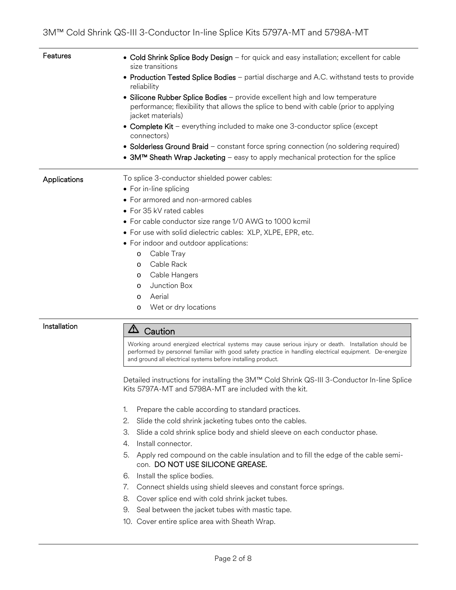| Features     | • Cold Shrink Splice Body Design - for quick and easy installation; excellent for cable<br>size transitions<br>• Production Tested Splice Bodies - partial discharge and A.C. withstand tests to provide<br>reliability<br>• Silicone Rubber Splice Bodies - provide excellent high and low temperature<br>performance; flexibility that allows the splice to bend with cable (prior to applying<br>jacket materials)<br>• Complete Kit – everything included to make one 3-conductor splice (except<br>connectors)<br>• Solderless Ground Braid – constant force spring connection (no soldering required) |  |
|--------------|-------------------------------------------------------------------------------------------------------------------------------------------------------------------------------------------------------------------------------------------------------------------------------------------------------------------------------------------------------------------------------------------------------------------------------------------------------------------------------------------------------------------------------------------------------------------------------------------------------------|--|
|              | • 3M™ Sheath Wrap Jacketing - easy to apply mechanical protection for the splice                                                                                                                                                                                                                                                                                                                                                                                                                                                                                                                            |  |
| Applications | To splice 3-conductor shielded power cables:<br>• For in-line splicing<br>• For armored and non-armored cables<br>• For 35 kV rated cables<br>• For cable conductor size range 1/0 AWG to 1000 kcmil<br>• For use with solid dielectric cables: XLP, XLPE, EPR, etc.<br>• For indoor and outdoor applications:<br>Cable Tray<br>$\circ$<br>Cable Rack<br>$\Omega$<br>Cable Hangers<br>$\circ$<br>Junction Box<br>$\circ$<br>Aerial<br>$\circ$<br>Wet or dry locations<br>$\circ$                                                                                                                            |  |

## Installation  $\boxed{\triangle}$  Caution

Working around energized electrical systems may cause serious injury or death. Installation should be performed by personnel familiar with good safety practice in handling electrical equipment. De-energize and ground all electrical systems before installing product.

Detailed instructions for installing the 3M™ Cold Shrink QS-III 3-Conductor In-line Splice Kits 5797A-MT and 5798A-MT are included with the kit.

- 1. Prepare the cable according to standard practices.
- 2. Slide the cold shrink jacketing tubes onto the cables.
- 3. Slide a cold shrink splice body and shield sleeve on each conductor phase.
- 4. Install connector.
- 5. Apply red compound on the cable insulation and to fill the edge of the cable semicon. DO NOT USE SILICONE GREASE.
- 6. Install the splice bodies.
- 7. Connect shields using shield sleeves and constant force springs.
- 8. Cover splice end with cold shrink jacket tubes.
- 9. Seal between the jacket tubes with mastic tape.
- 10. Cover entire splice area with Sheath Wrap.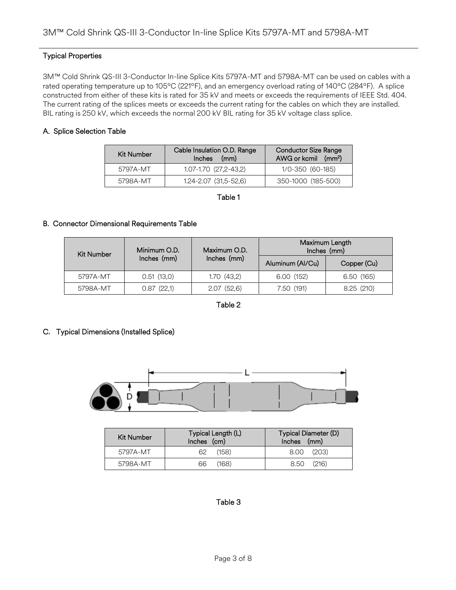## Typical Properties

3M™ Cold Shrink QS-III 3-Conductor In-line Splice Kits 5797A-MT and 5798A-MT can be used on cables with a rated operating temperature up to 105ºC (221ºF), and an emergency overload rating of 140ºC (284ºF). A splice constructed from either of these kits is rated for 35 kV and meets or exceeds the requirements of IEEE Std. 404. The current rating of the splices meets or exceeds the current rating for the cables on which they are installed. BIL rating is 250 kV, which exceeds the normal 200 kV BIL rating for 35 kV voltage class splice.

## A. Splice Selection Table

| Kit Number | Cable Insulation O.D. Range<br>Inches (mm) | <b>Conductor Size Range</b><br>AWG or kcmil (mm <sup>2</sup> ) |
|------------|--------------------------------------------|----------------------------------------------------------------|
| 5797A-MT   | 1.07-1.70 (27,2-43,2)                      | 1/0-350 (60-185)                                               |
| 5798A-MT   | $1.24 - 2.07$ $(31.5 - 52.6)$              | 350-1000 (185-500)                                             |

Table 1

## B. Connector Dimensional Requirements Table

| <b>Kit Number</b> | Minimum O.D. | Maximum O.D. | Maximum Length   | Inches (mm) |
|-------------------|--------------|--------------|------------------|-------------|
|                   | Inches (mm)  | Inches (mm)  | Aluminum (Al/Cu) | Copper (Cu) |
| 5797A-MT          | 0.51(13,0)   | 1.70(43,2)   | 6.00 (152)       | 6.50(165)   |
| 5798A-MT          | 0.87(22,1)   | 2.07(52,6)   | 7.50 (191)       | 8.25(210)   |

Table 2

## C. Typical Dimensions (Installed Splice)



| Kit Number | Typical Length (L)<br>Inches (cm) | Typical Diameter (D)<br>Inches (mm) |
|------------|-----------------------------------|-------------------------------------|
| 5797A-MT   | (158)<br>62                       | (203)<br>8.00                       |
| 5798A-MT   | (168)<br>66                       | (216)<br>8.50                       |

## Table 3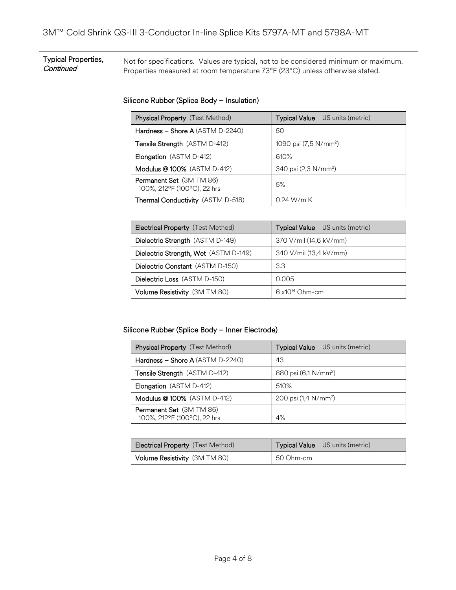### Typical Properties, **Continued** Not for specifications. Values are typical, not to be considered minimum or maximum. Properties measured at room temperature 73°F (23°C) unless otherwise stated.

## Silicone Rubber (Splice Body – Insulation)

| Physical Property (Test Method)                         | Typical Value US units (metric)   |
|---------------------------------------------------------|-----------------------------------|
| Hardness - Shore A (ASTM D-2240)                        | 50                                |
| Tensile Strength (ASTM D-412)                           | 1090 psi (7,5 N/mm <sup>2</sup> ) |
| Elongation (ASTM D-412)                                 | 610%                              |
| Modulus @ 100% (ASTM D-412)                             | 340 psi (2,3 N/mm <sup>2</sup> )  |
| Permanent Set (3M TM 86)<br>100%, 212°F (100°C), 22 hrs | 5%                                |
| Thermal Conductivity (ASTM D-518)                       | $0.24$ W/m K                      |

| <b>Electrical Property</b> (Test Method) | <b>Typical Value</b> US units (metric) |
|------------------------------------------|----------------------------------------|
| Dielectric Strength (ASTM D-149)         | 370 V/mil (14,6 kV/mm)                 |
| Dielectric Strength, Wet (ASTM D-149)    | 340 V/mil (13,4 kV/mm)                 |
| Dielectric Constant (ASTM D-150)         | 3.3                                    |
| Dielectric Loss (ASTM D-150)             | 0.005                                  |
| Volume Resistivity (3M TM 80)            | $6 \times 10^{14}$ Ohm-cm              |

Silicone Rubber (Splice Body – Inner Electrode)

| <b>Physical Property</b> (Test Method)                  | Typical Value US units (metric)  |
|---------------------------------------------------------|----------------------------------|
| Hardness - Shore A (ASTM D-2240)                        | 43                               |
| Tensile Strength (ASTM D-412)                           | 880 psi (6,1 N/mm <sup>2</sup> ) |
| Elongation (ASTM D-412)                                 | 510%                             |
| Modulus @ 100% (ASTM D-412)                             | 200 psi $(1.4 \text{ N/mm}^2)$   |
| Permanent Set (3M TM 86)<br>100%, 212°F (100°C), 22 hrs | 4%                               |

| <b>Electrical Property</b> (Test Method) | Typical Value US units (metric) |
|------------------------------------------|---------------------------------|
| Volume Resistivity (3M TM 80)            | 50 Ohm-cm                       |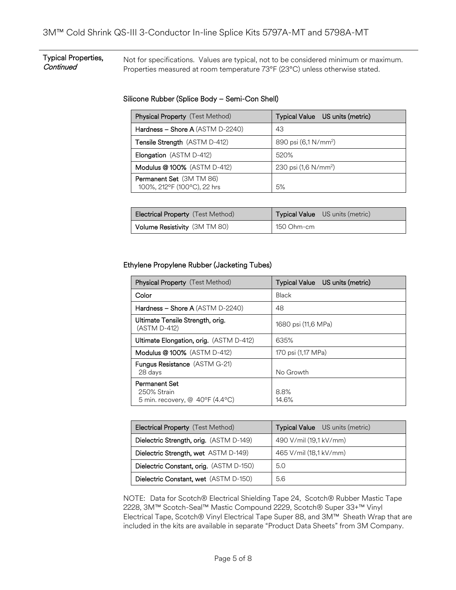### Typical Properties, **Continued** Not for specifications. Values are typical, not to be considered minimum or maximum. Properties measured at room temperature 73°F (23°C) unless otherwise stated.

## Silicone Rubber (Splice Body – Semi-Con Shell)

| <b>Physical Property</b> (Test Method)                  | Typical Value US units (metric)  |
|---------------------------------------------------------|----------------------------------|
| Hardness - Shore A (ASTM D-2240)                        | 43                               |
| Tensile Strength (ASTM D-412)                           | 890 psi (6,1 N/mm <sup>2</sup> ) |
| Elongation (ASTM D-412)                                 | 520%                             |
| Modulus @ 100% (ASTM D-412)                             | 230 psi (1,6 N/mm <sup>2</sup> ) |
| Permanent Set (3M TM 86)<br>100%, 212°F (100°C), 22 hrs | 5%                               |

| <b>Electrical Property</b> (Test Method) | <b>Typical Value</b> US units (metric) |
|------------------------------------------|----------------------------------------|
| Volume Resistivity (3M TM 80)            | 150 Ohm-cm                             |

## Ethylene Propylene Rubber (Jacketing Tubes)

| Physical Property (Test Method)                                          | Typical Value US units (metric) |
|--------------------------------------------------------------------------|---------------------------------|
| Color                                                                    | Black                           |
| Hardness $-$ Shore A (ASTM D-2240)                                       | 48                              |
| Ultimate Tensile Strength, orig.<br>(ASTM D-412)                         | 1680 psi (11,6 MPa)             |
| <b>Ultimate Elongation, orig.</b> (ASTM D-412)                           | 635%                            |
| <b>Modulus @100%</b> (ASTM D-412)                                        | 170 psi (1,17 MPa)              |
| <b>Fungus Resistance</b> (ASTM G-21)<br>28 days                          | No Growth                       |
| <b>Permanent Set</b><br>250% Strain<br>5 min. recovery, $@$ 40°F (4.4°C) | 8.8%<br>14.6%                   |

| <b>Electrical Property</b> (Test Method) | <b>Typical Value</b> US units (metric) |
|------------------------------------------|----------------------------------------|
| Dielectric Strength, orig. (ASTM D-149)  | 490 V/mil (19,1 kV/mm)                 |
| Dielectric Strength, wet ASTM D-149)     | 465 V/mil (18,1 kV/mm)                 |
| Dielectric Constant, orig. (ASTM D-150)  | 5.0                                    |
| Dielectric Constant, wet (ASTM D-150)    | 5.6                                    |

NOTE: Data for Scotch® Electrical Shielding Tape 24, Scotch® Rubber Mastic Tape 2228, 3M™ Scotch-Seal™ Mastic Compound 2229, Scotch® Super 33+™ Vinyl Electrical Tape, Scotch® Vinyl Electrical Tape Super 88, and 3M™ Sheath Wrap that are included in the kits are available in separate "Product Data Sheets" from 3M Company.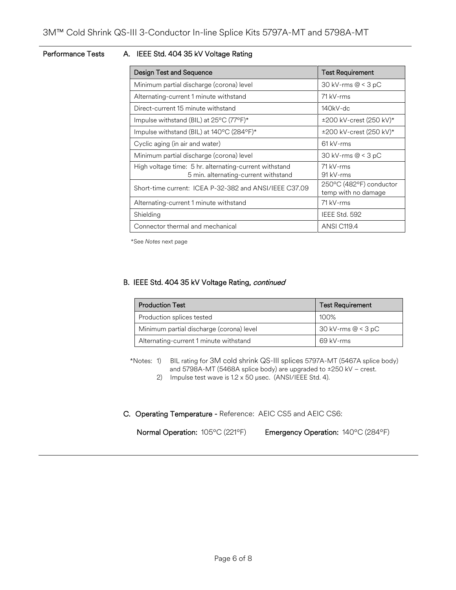## Performance Tests A. IEEE Std. 404 35 kV Voltage Rating

| <b>Design Test and Sequence</b>                                                                | <b>Test Requirement</b>                        |  |
|------------------------------------------------------------------------------------------------|------------------------------------------------|--|
| Minimum partial discharge (corona) level                                                       | 30 kV-rms $@ < 3 pC$                           |  |
| Alternating-current 1 minute withstand                                                         | 71 kV-rms                                      |  |
| Direct-current 15 minute withstand                                                             | $140$ kV-dc                                    |  |
| Impulse withstand (BIL) at 25°C (77°F)*                                                        | ±200 kV-crest (250 kV)*                        |  |
| Impulse withstand (BIL) at 140°C (284°F)*                                                      | ±200 kV-crest (250 kV)*                        |  |
| Cyclic aging (in air and water)                                                                | $61$ kV-rms                                    |  |
| Minimum partial discharge (corona) level                                                       | 30 kV-rms $@ < 3 pC$                           |  |
| High voltage time: 5 hr. alternating-current withstand<br>5 min. alternating-current withstand | 71 kV-rms<br>91 kV-rms                         |  |
| Short-time current: ICEA P-32-382 and ANSI/IEEE C37.09                                         | 250°C (482°F) conductor<br>temp with no damage |  |
| Alternating-current 1 minute withstand                                                         | 71 kV-rms                                      |  |
| Shielding                                                                                      | IEEE Std. 592                                  |  |
| Connector thermal and mechanical                                                               | ANSI C119.4                                    |  |

\*See *Notes* next page

## B. IEEE Std. 404 35 kV Voltage Rating, continued

| <b>Production Test</b>                   | <b>Test Requirement</b> |  |
|------------------------------------------|-------------------------|--|
| Production splices tested                | 100%                    |  |
| Minimum partial discharge (corona) level | 30 kV-rms @ < 3 pC      |  |
| Alternating-current 1 minute withstand   | 69 kV-rms               |  |

\*Notes: 1) BIL rating for 3M cold shrink QS-III splices 5797A-MT (5467A splice body) and 5798A-MT (5468A splice body) are upgraded to ±250 kV – crest.

2) Impulse test wave is 1.2 x 50 µsec. (ANSI/IEEE Std. 4).

C. Operating Temperature - Reference: AEIC CS5 and AEIC CS6:

Normal Operation: 105ºC (221ºF) Emergency Operation: 140ºC (284ºF)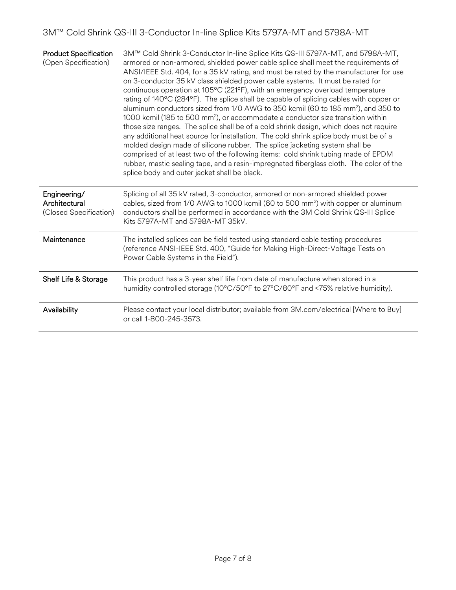| <b>Product Specification</b><br>(Open Specification)    | 3M™ Cold Shrink 3-Conductor In-line Splice Kits QS-III 5797A-MT, and 5798A-MT,<br>armored or non-armored, shielded power cable splice shall meet the requirements of<br>ANSI/IEEE Std. 404, for a 35 kV rating, and must be rated by the manufacturer for use<br>on 3-conductor 35 kV class shielded power cable systems. It must be rated for<br>continuous operation at 105°C (221°F), with an emergency overload temperature<br>rating of 140°C (284°F). The splice shall be capable of splicing cables with copper or<br>aluminum conductors sized from 1/0 AWG to 350 kcmil (60 to 185 mm <sup>2</sup> ), and 350 to<br>1000 kcmil (185 to 500 mm <sup>2</sup> ), or accommodate a conductor size transition within<br>those size ranges. The splice shall be of a cold shrink design, which does not require<br>any additional heat source for installation. The cold shrink splice body must be of a<br>molded design made of silicone rubber. The splice jacketing system shall be<br>comprised of at least two of the following items: cold shrink tubing made of EPDM<br>rubber, mastic sealing tape, and a resin-impregnated fiberglass cloth. The color of the<br>splice body and outer jacket shall be black. |
|---------------------------------------------------------|----------------------------------------------------------------------------------------------------------------------------------------------------------------------------------------------------------------------------------------------------------------------------------------------------------------------------------------------------------------------------------------------------------------------------------------------------------------------------------------------------------------------------------------------------------------------------------------------------------------------------------------------------------------------------------------------------------------------------------------------------------------------------------------------------------------------------------------------------------------------------------------------------------------------------------------------------------------------------------------------------------------------------------------------------------------------------------------------------------------------------------------------------------------------------------------------------------------------------|
| Engineering/<br>Architectural<br>(Closed Specification) | Splicing of all 35 kV rated, 3-conductor, armored or non-armored shielded power<br>cables, sized from 1/0 AWG to 1000 kcmil (60 to 500 mm <sup>2</sup> ) with copper or aluminum<br>conductors shall be performed in accordance with the 3M Cold Shrink QS-III Splice<br>Kits 5797A-MT and 5798A-MT 35kV.                                                                                                                                                                                                                                                                                                                                                                                                                                                                                                                                                                                                                                                                                                                                                                                                                                                                                                                  |
| Maintenance                                             | The installed splices can be field tested using standard cable testing procedures<br>(reference ANSI-IEEE Std. 400, "Guide for Making High-Direct-Voltage Tests on<br>Power Cable Systems in the Field").                                                                                                                                                                                                                                                                                                                                                                                                                                                                                                                                                                                                                                                                                                                                                                                                                                                                                                                                                                                                                  |
| Shelf Life & Storage                                    | This product has a 3-year shelf life from date of manufacture when stored in a<br>humidity controlled storage (10°C/50°F to 27°C/80°F and <75% relative humidity).                                                                                                                                                                                                                                                                                                                                                                                                                                                                                                                                                                                                                                                                                                                                                                                                                                                                                                                                                                                                                                                         |
| Availability                                            | Please contact your local distributor; available from 3M.com/electrical [Where to Buy]<br>or call 1-800-245-3573.                                                                                                                                                                                                                                                                                                                                                                                                                                                                                                                                                                                                                                                                                                                                                                                                                                                                                                                                                                                                                                                                                                          |